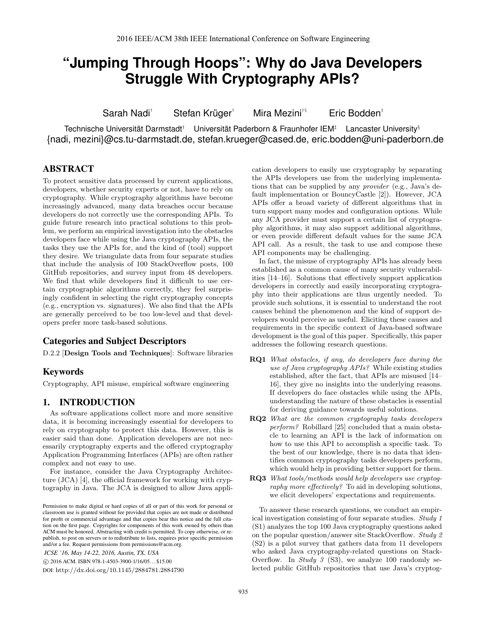# **"Jumping Through Hoops": Why do Java Developers Struggle With Cryptography APIs?**

Sarah Nadi*†* Stefan Krüger*†* Mira Mezini*†§* Eric Bodden*‡*

Technische Universität Darmstadt*†* Universität Paderborn & Fraunhofer IEM*‡* Lancaster University*§* {nadi, mezini}@cs.tu-darmstadt.de, stefan.krueger@cased.de, eric.bodden@uni-paderborn.de

# ABSTRACT

To protect sensitive data processed by current applications, developers, whether security experts or not, have to rely on cryptography. While cryptography algorithms have become increasingly advanced, many data breaches occur because developers do not correctly use the corresponding APIs. To guide future research into practical solutions to this problem, we perform an empirical investigation into the obstacles developers face while using the Java cryptography APIs, the tasks they use the APIs for, and the kind of (tool) support they desire. We triangulate data from four separate studies that include the analysis of 100 StackOverflow posts, 100 GitHub repositories, and survey input from 48 developers. We find that while developers find it difficult to use certain cryptographic algorithms correctly, they feel surprisingly confident in selecting the right cryptography concepts (e.g., encryption vs. signatures). We also find that the APIs are generally perceived to be too low-level and that developers prefer more task-based solutions.

#### Categories and Subject Descriptors

D.2.2 [Design Tools and Techniques]: Software libraries

## Keywords

Cryptography, API misuse, empirical software engineering

# 1. INTRODUCTION

As software applications collect more and more sensitive data, it is becoming increasingly essential for developers to rely on cryptography to protect this data. However, this is easier said than done. Application developers are not necessarily cryptography experts and the offered cryptography Application Programming Interfaces (APIs) are often rather complex and not easy to use.

For instance, consider the Java Cryptography Architecture  $(JCA)$  [4], the official framework for working with cryptography in Java. The JCA is designed to allow Java appli-

*ICSE '16, May 14-22, 2016, Austin, TX, USA*

DOI: http://dx.doi.org/10.1145/2884781.2884790

cation developers to easily use cryptography by separating the APIs developers use from the underlying implementations that can be supplied by any *provider* (e.g., Java's default implementation or BouncyCastle [2]). However, JCA APIs offer a broad variety of different algorithms that in turn support many modes and configuration options. While any JCA provider must support a certain list of cryptography algorithms, it may also support additional algorithms, or even provide different default values for the same JCA API call. As a result, the task to use and compose these API components may be challenging.

In fact, the misuse of cryptography APIs has already been established as a common cause of many security vulnerabilities  $[14–16]$ . Solutions that effectively support application developers in correctly and easily incorporating cryptography into their applications are thus urgently needed. To provide such solutions, it is essential to understand the root causes behind the phenomenon and the kind of support developers would perceive as useful. Eliciting these causes and requirements in the specific context of Java-based software development is the goal of this paper. Specifically, this paper addresses the following research questions.

- RQ1 *What obstacles, if any, do developers face during the use of Java cryptography APIs?* While existing studies established, after the fact, that APIs are misused [14– 16], they give no insights into the underlying reasons. If developers do face obstacles while using the APIs, understanding the nature of these obstacles is essential for deriving guidance towards useful solutions.
- RQ2 *What are the common cryptography tasks developers perform?* Robillard [25] concluded that a main obstacle to learning an API is the lack of information on how to use this API to accomplish a specific task. To the best of our knowledge, there is no data that identifies common cryptography tasks developers perform, which would help in providing better support for them.
- RQ3 *What tools/methods would help developers use cryptography more effectively?* To aid in developing solutions, we elicit developers' expectations and requirements.

To answer these research questions, we conduct an empirical investigation consisting of four separate studies. *Study 1* (S1) analyzes the top 100 Java cryptography questions asked on the popular question/answer site StackOverflow. *Study 2* (S2) is a pilot survey that gathers data from 11 developers who asked Java cryptography-related questions on Stack-Overflow. In *Study 3* (S3), we analyze 100 randomly selected public GitHub repositories that use Java's cryptog-

Permission to make digital or hard copies of all or part of this work for personal or classroom use is granted without fee provided that copies are not made or distributed for profit or commercial advantage and that copies bear this notice and the full citation on the first page. Copyrights for components of this work owned by others than ACM must be honored. Abstracting with credit is permitted. To copy otherwise, or republish, to post on servers or to redistribute to lists, requires prior specific permission and/or a fee. Request permissions from permissions@acm.org.

c 2016 ACM. ISBN 978-1-4503-3900-1/16/05. . . \$15.00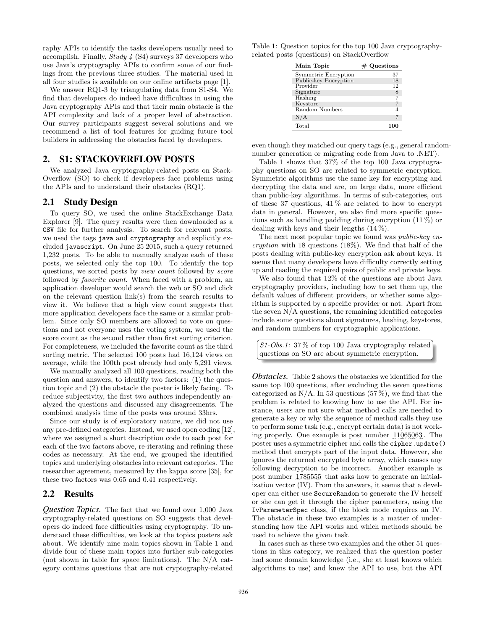raphy APIs to identify the tasks developers usually need to accomplish. Finally, *Study 4* (S4) surveys 37 developers who use Java's cryptography APIs to confirm some of our findings from the previous three studies. The material used in all four studies is available on our online artifacts page [1].

We answer RQ1-3 by triangulating data from S1-S4. We find that developers do indeed have difficulties in using the Java cryptography APIs and that their main obstacle is the API complexity and lack of a proper level of abstraction. Our survey participants suggest several solutions and we recommend a list of tool features for guiding future tool builders in addressing the obstacles faced by developers.

#### 2. S1: STACKOVERFLOW POSTS

We analyzed Java cryptography-related posts on Stack-Overflow (SO) to check if developers face problems using the APIs and to understand their obstacles (RQ1).

#### 2.1 Study Design

To query SO, we used the online StackExchange Data Explorer [9]. The query results were then downloaded as a CSV file for further analysis. To search for relevant posts, we used the tags java and cryptography and explicitly excluded javascript. On June 25 2015, such a query returned 1,232 posts. To be able to manually analyze each of these posts, we selected only the top 100. To identify the top questions, we sorted posts by *view count* followed by *score* followed by *favorite count*. When faced with a problem, an application developer would search the web or SO and click on the relevant question link(s) from the search results to view it. We believe that a high view count suggests that more application developers face the same or a similar problem. Since only SO members are allowed to vote on questions and not everyone uses the voting system, we used the score count as the second rather than first sorting criterion. For completeness, we included the favorite count as the third sorting metric. The selected 100 posts had 16,124 views on average, while the 100th post already had only 5,291 views.

We manually analyzed all 100 questions, reading both the question and answers, to identify two factors: (1) the question topic and (2) the obstacle the poster is likely facing. To reduce subjectivity, the first two authors independently analyzed the questions and discussed any disagreements. The combined analysis time of the posts was around 33hrs.

Since our study is of exploratory nature, we did not use any pre-defined categories. Instead, we used open coding [12], where we assigned a short description code to each post for each of the two factors above, re-iterating and refining these codes as necessary. At the end, we grouped the identified topics and underlying obstacles into relevant categories. The researcher agreement, measured by the kappa score [35], for these two factors was 0.65 and 0.41 respectively.

#### 2.2 Results

*Question Topics.* The fact that we found over 1,000 Java cryptography-related questions on SO suggests that developers do indeed face difficulties using cryptography. To understand these difficulties, we look at the topics posters ask about. We identify nine main topics shown in Table 1 and divide four of these main topics into further sub-categories (not shown in table for space limitations). The N/A category contains questions that are not cryptography-related

Table 1: Question topics for the top 100 Java cryptographyrelated posts (questions) on StackOverflow

| Main Topic            | $#$ Questions |
|-----------------------|---------------|
| Symmetric Encryption  | 37            |
| Public-key Encryption | 18            |
| Provider              | 12            |
| Signature             | $\frac{8}{7}$ |
| Hashing               |               |
| Keystore              |               |
| Random Numbers        |               |
| N/A                   |               |
| Total                 | 10            |

even though they matched our query tags (e.g., general randomnumber generation or migrating code from Java to .NET).

Table 1 shows that 37% of the top 100 Java cryptography questions on SO are related to symmetric encryption. Symmetric algorithms use the same key for encrypting and decrypting the data and are, on large data, more efficient than public-key algorithms. In terms of sub-categories, out of these 37 questions,  $41\%$  are related to how to encrypt data in general. However, we also find more specific questions such as handling padding during encryption (11 %) or dealing with keys and their lengths (14 %).

The next most popular topic we found was *public-key encryption* with 18 questions (18%). We find that half of the posts dealing with public-key encryption ask about keys. It seems that many developers have difficulty correctly setting up and reading the required pairs of public and private keys.

We also found that 12% of the questions are about Java cryptography providers, including how to set them up, the default values of different providers, or whether some algorithm is supported by a specific provider or not. Apart from the seven N/A questions, the remaining identified categories include some questions about signatures, hashing, keystores, and random numbers for cryptographic applications.

*S1-Obs.1:* 37 % of top 100 Java cryptography related questions on SO are about symmetric encryption.

*Obstacles.* Table 2 shows the obstacles we identified for the same top 100 questions, after excluding the seven questions categorized as N/A. In 53 questions (57 %), we find that the problem is related to knowing how to use the API. For instance, users are not sure what method calls are needed to generate a key or why the sequence of method calls they use to perform some task (e.g., encrypt certain data) is not working properly. One example is post number 11065063 . The poster uses a symmetric cipher and calls the cipher.update() method that encrypts part of the input data. However, she ignores the returned encrypted byte array, which causes any following decryption to be incorrect. Another example is post number 1785555 that asks how to generate an initialization vector (IV). From the answers, it seems that a developer can either use SecureRandom to generate the IV herself or she can get it through the cipher parameters, using the IvParameterSpec class, if the block mode requires an IV. The obstacle in these two examples is a matter of understanding how the API works and which methods should be used to achieve the given task.

In cases such as these two examples and the other 51 questions in this category, we realized that the question poster had some domain knowledge (i.e., she at least knows which algorithms to use) and knew the API to use, but the API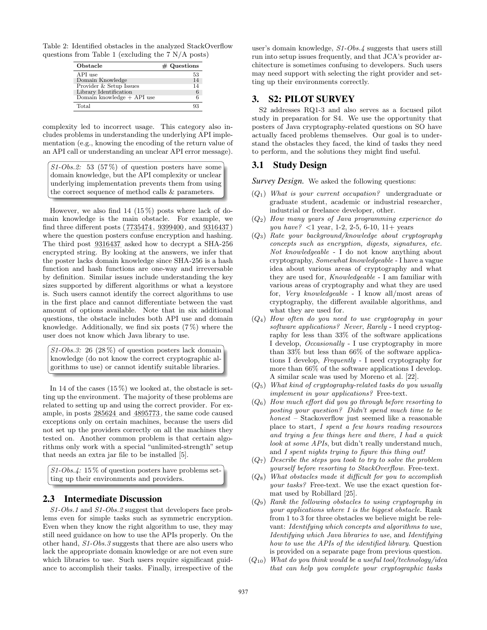Table 2: Identified obstacles in the analyzed StackOverflow questions from Table 1 (excluding the 7 N/A posts)

| Obstacle                     | $#$ Questions |
|------------------------------|---------------|
| API use                      | 53            |
| Domain Knowledge             | 14            |
| Provider & Setup Issues      | 14            |
| Library Identification       |               |
| Domain knowledge $+$ API use |               |
| Total                        |               |

complexity led to incorrect usage. This category also includes problems in understanding the underlying API implementation (e.g., knowing the encoding of the return value of an API call or understanding an unclear API error message).

*S1-Obs.2:* 53 (57 %) of question posters have some domain knowledge, but the API complexity or unclear underlying implementation prevents them from using the correct sequence of method calls & parameters.

However, we also find 14  $(15\%)$  posts where lack of domain knowledge is the main obstacle. For example, we find three different posts  $(7735474, 9399400,$  and  $9316437)$ where the question posters confuse encryption and hashing. The third post 9316437 asked how to decrypt a SHA-256 encrypted string. By looking at the answers, we infer that the poster lacks domain knowledge since SHA-256 is a hash function and hash functions are one-way and irreversable by definition. Similar issues include understanding the key sizes supported by different algorithms or what a keystore is. Such users cannot identify the correct algorithms to use in the first place and cannot differentiate between the vast amount of options available. Note that in six additional questions, the obstacle includes both API use and domain knowledge. Additionally, we find six posts (7 %) where the user does not know which Java library to use.

*S1-Obs.3:* 26 (28 %) of question posters lack domain knowledge (do not know the correct cryptographic algorithms to use) or cannot identify suitable libraries.

In 14 of the cases  $(15\%)$  we looked at, the obstacle is setting up the environment. The majority of these problems are related to setting up and using the correct provider. For example, in posts 285624 and 4895773 , the same code caused exceptions only on certain machines, because the users did not set up the providers correctly on all the machines they tested on. Another common problem is that certain algorithms only work with a special "unlimited-strength" setup that needs an extra jar file to be installed [5].

*S1-Obs.4:* 15 % of question posters have problems setting up their environments and providers.

#### 2.3 Intermediate Discussion

*S1-Obs.1* and *S1-Obs.2* suggest that developers face problems even for simple tasks such as symmetric encryption. Even when they know the right algorithm to use, they may still need guidance on how to use the APIs properly. On the other hand, *S1-Obs.3* suggests that there are also users who lack the appropriate domain knowledge or are not even sure which libraries to use. Such users require significant guidance to accomplish their tasks. Finally, irrespective of the user's domain knowledge, *S1-Obs.4* suggests that users still run into setup issues frequently, and that JCA's provider architecture is sometimes confusing to developers. Such users may need support with selecting the right provider and setting up their environments correctly.

#### 3. S2: PILOT SURVEY

S2 addresses RQ1-3 and also serves as a focused pilot study in preparation for S4. We use the opportunity that posters of Java cryptography-related questions on SO have actually faced problems themselves. Our goal is to understand the obstacles they faced, the kind of tasks they need to perform, and the solutions they might find useful.

## 3.1 Study Design

*Survey Design.* We asked the following questions:

- (*Q*1) *What is your current occupation?* undergraduate or graduate student, academic or industrial researcher, industrial or freelance developer, other.
- (*Q*2) *How many years of Java programming experience do you have? <*1 year, 1-2, 2-5, 6-10, 11+ years
- (*Q*3) *Rate your background/knowledge about cryptography concepts such as encryption, digests, signatures, etc. Not knowledgeable* - I do not know anything about cryptography, *Somewhat knowledgeable* - I have a vague idea about various areas of cryptography and what they are used for, *Knowledgeable* - I am familiar with various areas of cryptography and what they are used for, *Very knowledgeable* - I know all/most areas of cryptography, the different available algorithms, and what they are used for.
- (*Q*4) *How often do you need to use cryptography in your software applications? Never*, *Rarely* - I need cryptography for less than 33% of the software applications I develop, *Occasionally* - I use cryptography in more than 33% but less than 66% of the software applications I develop, *Frequently* - I need cryptography for more than 66% of the software applications I develop. A similar scale was used by Moreno et al. [22].
- (*Q*5) *What kind of cryptography-related tasks do you usually implement in your applications?* Free-text.
- $(Q_6)$  *How much effort did you go through before resorting to posting your question? Didn't spend much time to be honest* – Stackoverflow just seemed like a reasonable place to start, *I spent a few hours reading resources and trying a few things here and there*, *I had a quick look at some APIs*, but didn't really understand much, and *I spent nights trying to figure this thing out!*
- (*Q*7) *Describe the steps you took to try to solve the problem yourself before resorting to StackOverflow.* Free-text.
- $(Q_8)$  *What obstacles made it difficult for you to accomplish your tasks?* Free-text. We use the exact question format used by Robillard [25].
- (*Q*9) *Rank the following obstacles to using cryptography in your applications where 1 is the biggest obstacle.* Rank from 1 to 3 for three obstacles we believe might be relevant: *Identifying which concepts and algorithms to use*, *Identifying which Java libraries to use*, and *Identifying how to use the APIs of the identified library*. Question is provided on a separate page from previous question.
- (*Q*10) *What do you think would be a useful tool/technology/idea that can help you complete your cryptographic tasks*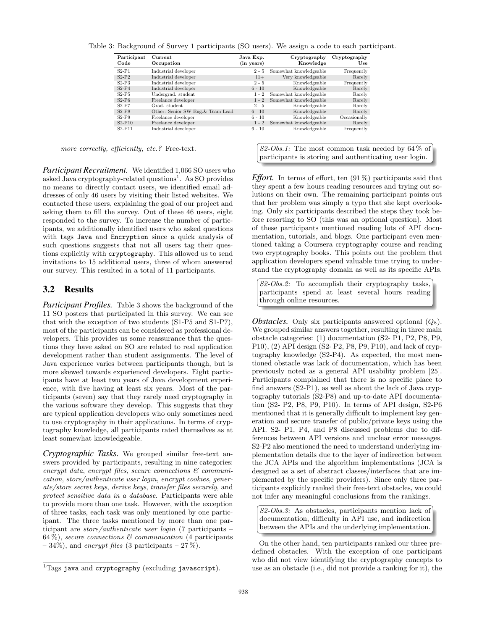|  |  |  | Table 3: Background of Survey 1 participants (SO users). We assign a code to each participant. |
|--|--|--|------------------------------------------------------------------------------------------------|
|  |  |  |                                                                                                |

| Participant<br>Code | Current<br>Occupation             | Java Exp.<br>(in years) | Cryptography<br>Knowledge | Cryptography<br>Use |
|---------------------|-----------------------------------|-------------------------|---------------------------|---------------------|
| $S2-P1$             | Industrial developer              | $2 - 5$                 | Somewhat knowledgeable    | Frequently          |
| $S2-P2$             | Industrial developer              | $11+$                   | Very knowledgeable        | Rarely              |
| $S2-P3$             | Industrial developer              | $2 - 5$                 | Knowledgeable             | Frequently          |
| $S2-P4$             | Industrial developer              | $6 - 10$                | Knowledgeable             | Rarely              |
| $S2-P5$             | Undergrad. student                | $1 - 2$                 | Somewhat knowledgeable    | Rarely              |
| $S2-P6$             | Freelance developer               | $1 - 2$                 | Somewhat knowledgeable    | Rarely              |
| $S2-PT$             | Grad. student.                    | $2 - 5$                 | Knowledgeable             | Rarely              |
| $S2-P8$             | Other: Senior SW Eng. & Team Lead | $6 - 10$                | Knowledgeable             | Rarely              |
| $S2-P9$             | Freelance developer               | $6 - 10$                | Knowledgeable             | Occasionally        |
| $S2-P10$            | Freelance developer               | $1 - 2$                 | Somewhat knowledgeable    | Rarely              |
| $S2-P11$            | Industrial developer              | $6 - 10$                | Knowledgeable             | Frequently          |

*more correctly, efficiently, etc.?* Free-text.

*Participant Recruitment.* We identified 1,066 SO users who asked Java cryptography-related questions<sup>1</sup>. As SO provides no means to directly contact users, we identified email addresses of only 46 users by visiting their listed websites. We contacted these users, explaining the goal of our project and asking them to fill the survey. Out of these 46 users, eight responded to the survey. To increase the number of participants, we additionally identified users who asked questions with tags Java and Encryption since a quick analysis of such questions suggests that not all users tag their questions explicitly with cryptography. This allowed us to send invitations to 15 additional users, three of whom answered our survey. This resulted in a total of 11 participants.

#### 3.2 Results

*Participant Profiles.* Table 3 shows the background of the 11 SO posters that participated in this survey. We can see that with the exception of two students (S1-P5 and S1-P7), most of the participants can be considered as professional developers. This provides us some reassurance that the questions they have asked on SO are related to real application development rather than student assignments. The level of Java experience varies between participants though, but is more skewed towards experienced developers. Eight participants have at least two years of Java development experience, with five having at least six years. Most of the participants (seven) say that they rarely need cryptography in the various software they develop. This suggests that they are typical application developers who only sometimes need to use cryptography in their applications. In terms of cryptography knowledge, all participants rated themselves as at least somewhat knowledgeable.

*Cryptographic Tasks.* We grouped similar free-text answers provided by participants, resulting in nine categories: *encrypt data*, *encrypt files*, *secure connections & communication*, *store/authenticate user login*, *encrypt cookies*, *generate/store secret keys*, *derive keys*, *transfer files securely*, and *protect sensitive data in a database*. Participants were able to provide more than one task. However, with the exception of three tasks, each task was only mentioned by one participant. The three tasks mentioned by more than one participant are *store/authenticate user login* (7 participants – 64 %), *secure connections & communication* (4 participants  $-34\%$ ), and *encrypt files* (3 participants  $-27\%$ ).

*S2-Obs.1:* The most common task needed by 64 % of participants is storing and authenticating user login.

*Effort.* In terms of effort, ten  $(91\%)$  participants said that they spent a few hours reading resources and trying out solutions on their own. The remaining participant points out that her problem was simply a typo that she kept overlooking. Only six participants described the steps they took before resorting to SO (this was an optional question). Most of these participants mentioned reading lots of API documentation, tutorials, and blogs. One participant even mentioned taking a Coursera cryptography course and reading two cryptography books. This points out the problem that application developers spend valuable time trying to understand the cryptography domain as well as its specific APIs.

*S2-Obs.2:* To accomplish their cryptography tasks, participants spend at least several hours reading through online resources.

*Obstacles.* Only six participants answered optional (*Q*8). We grouped similar answers together, resulting in three main obstacle categories: (1) documentation (S2- P1, P2, P8, P9, P10), (2) API design (S2- P2, P8, P9, P10), and lack of cryptography knowledge (S2-P4). As expected, the most mentioned obstacle was lack of documentation, which has been previously noted as a general API usability problem [25]. Participants complained that there is no specific place to find answers (S2-P1), as well as about the lack of Java cryptography tutorials (S2-P8) and up-to-date API documentation (S2- P2, P8, P9, P10). In terms of API design, S2-P6 mentioned that it is generally difficult to implement key generation and secure transfer of public/private keys using the API. S2- P1, P4, and P8 discussed problems due to differences between API versions and unclear error messages. S2-P2 also mentioned the need to understand underlying implementation details due to the layer of indirection between the JCA APIs and the algorithm implementations (JCA is designed as a set of abstract classes/interfaces that are implemented by the specific providers). Since only three participants explicitly ranked their free-text obstacles, we could not infer any meaningful conclusions from the rankings.

*S2-Obs.3:* As obstacles, participants mention lack of documentation, difficulty in API use, and indirection between the APIs and the underlying implementation.

On the other hand, ten participants ranked our three predefined obstacles. With the exception of one participant who did not view identifying the cryptography concepts to use as an obstacle (i.e., did not provide a ranking for it), the

 $1$ Tags java and cryptography (excluding javascript).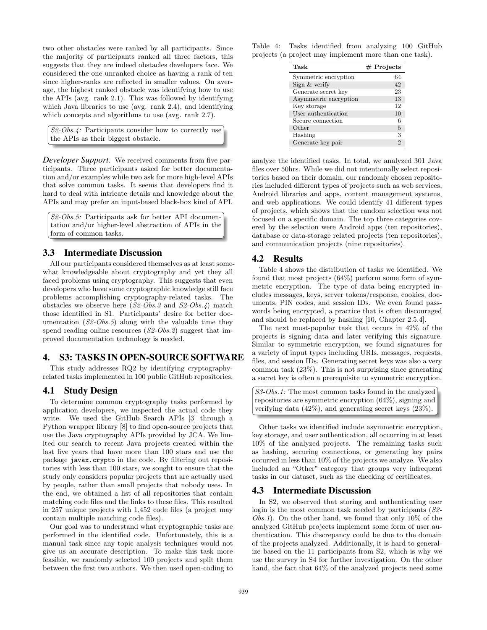two other obstacles were ranked by all participants. Since the majority of participants ranked all three factors, this suggests that they are indeed obstacles developers face. We considered the one unranked choice as having a rank of ten since higher-ranks are reflected in smaller values. On average, the highest ranked obstacle was identifying how to use the APIs (avg. rank 2.1). This was followed by identifying which Java libraries to use (avg. rank 2.4), and identifying which concepts and algorithms to use (avg. rank 2.7).

| $S2-Obs.4$ : Participants consider how to correctly use |  |
|---------------------------------------------------------|--|
| the APIs as their biggest obstacle.                     |  |

*Developer Support.* We received comments from five participants. Three participants asked for better documentation and/or examples while two ask for more high-level APIs that solve common tasks. It seems that developers find it hard to deal with intricate details and knowledge about the APIs and may prefer an input-based black-box kind of API.

*S2-Obs.5:* Participants ask for better API documentation and/or higher-level abstraction of APIs in the form of common tasks.

#### 3.3 Intermediate Discussion

All our participants considered themselves as at least somewhat knowledgeable about cryptography and yet they all faced problems using cryptography. This suggests that even developers who have some cryptographic knowledge still face problems accomplishing cryptography-related tasks. The obstacles we observe here (*S2-Obs.3* and *S2-Obs.4*) match those identified in S1. Participants' desire for better documentation (*S2-Obs.5*) along with the valuable time they spend reading online resources (*S2-Obs.2*) suggest that improved documentation technology is needed.

#### 4. S3: TASKS IN OPEN-SOURCE SOFTWARE

This study addresses RQ2 by identifying cryptographyrelated tasks implemented in 100 public GitHub repositories.

#### 4.1 Study Design

To determine common cryptography tasks performed by application developers, we inspected the actual code they write. We used the GitHub Search APIs [3] through a Python wrapper library [8] to find open-source projects that use the Java cryptography APIs provided by JCA. We limited our search to recent Java projects created within the last five years that have more than 100 stars and use the package javax.crypto in the code. By filtering out repositories with less than 100 stars, we sought to ensure that the study only considers popular projects that are actually used by people, rather than small projects that nobody uses. In the end, we obtained a list of all repositories that contain matching code files and the links to these files. This resulted in 257 unique projects with 1,452 code files (a project may contain multiple matching code files).

Our goal was to understand what cryptographic tasks are performed in the identified code. Unfortunately, this is a manual task since any topic analysis techniques would not give us an accurate description. To make this task more feasible, we randomly selected 100 projects and split them between the first two authors. We then used open-coding to

Table 4: Tasks identified from analyzing 100 GitHub projects (a project may implement more than one task).

| Task                  | $#$ Projects |
|-----------------------|--------------|
| Symmetric encryption  | 64           |
| Sign & verify         | 42           |
| Generate secret key   | 23           |
| Asymmetric encryption | 13           |
| Key storage           | 12           |
| User authentication   | 10           |
| Secure connection     |              |
| Other                 | 5            |
| Hashing               | 3            |
| Generate key pair     | 2            |

analyze the identified tasks. In total, we analyzed 301 Java files over 50hrs. While we did not intentionally select repositories based on their domain, our randomly chosen repositories included different types of projects such as web services, Android libraries and apps, content management systems, and web applications. We could identify 41 different types of projects, which shows that the random selection was not focused on a specific domain. The top three categories covered by the selection were Android apps (ten repositories), database or data-storage related projects (ten repositories), and communication projects (nine repositories).

#### 4.2 Results

Table 4 shows the distribution of tasks we identified. We found that most projects (64%) perform some form of symmetric encryption. The type of data being encrypted includes messages, keys, server tokens/response, cookies, documents, PIN codes, and session IDs. We even found passwords being encrypted, a practice that is often discouraged and should be replaced by hashing [10, Chapter 2.5.4].

The next most-popular task that occurs in 42% of the projects is signing data and later verifying this signature. Similar to symmetric encryption, we found signatures for a variety of input types including URIs, messages, requests, files, and session IDs. Generating secret keys was also a very common task (23%). This is not surprising since generating a secret key is often a prerequisite to symmetric encryption.

```
S3-Obs.1: The most common tasks found in the analyzed
repositories are symmetric encryption (64%), signing and
verifying data (42%), and generating secret keys (23%).
```
Other tasks we identified include asymmetric encryption, key storage, and user authentication, all occurring in at least 10% of the analyzed projects. The remaining tasks such as hashing, securing connections, or generating key pairs occurred in less than 10% of the projects we analyze. We also included an "Other" category that groups very infrequent tasks in our dataset, such as the checking of certificates.

#### 4.3 Intermediate Discussion

In S2, we observed that storing and authenticating user login is the most common task needed by participants (*S2- Obs.1*). On the other hand, we found that only 10% of the analyzed GitHub projects implement some form of user authentication. This discrepancy could be due to the domain of the projects analyzed. Additionally, it is hard to generalize based on the 11 participants from S2, which is why we use the survey in S4 for further investigation. On the other hand, the fact that 64% of the analyzed projects need some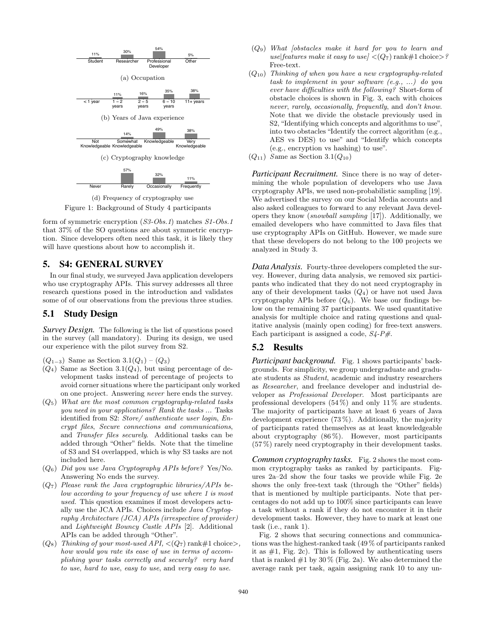

Figure 1: Background of Study 4 participants

form of symmetric encryption (*S3-Obs.1*) matches *S1-Obs.1* that 37% of the SO questions are about symmetric encryption. Since developers often need this task, it is likely they will have questions about how to accomplish it.

## 5. S4: GENERAL SURVEY

In our final study, we surveyed Java application developers who use cryptography APIs. This survey addresses all three research questions posed in the introduction and validates some of of our observations from the previous three studies.

#### 5.1 Study Design

*Survey Design.* The following is the list of questions posed in the survey (all mandatory). During its design, we used our experience with the pilot survey from S2.

 $(Q_{1-3})$  Same as Section  $3.1(Q_1) - (Q_3)$ 

- $(Q_4)$  Same as Section 3.1 $(Q_4)$ , but using percentage of development tasks instead of percentage of projects to avoid corner situations where the participant only worked on one project. Answering *never* here ends the survey.
- (*Q*5) *What are the most common cryptography-related tasks you need in your applications? Rank the tasks ...* Tasks identified from S2: *Store/ authenticate user login*, *Encrypt files*, *Secure connections and communications*, and *Transfer files securely*. Additional tasks can be added through "Other" fields. Note that the timeline of S3 and S4 overlapped, which is why S3 tasks are not included here.
- (*Q*6) *Did you use Java Cryptography APIs before?* Yes/No. Answering No ends the survey.
- (*Q*7) *Please rank the Java cryptographic libraries/APIs below according to your frequency of use where 1 is most used.* This question examines if most developers actually use the JCA APIs. Choices include *Java Cryptography Architecture (JCA) APIs (irrespective of provider)* and *Lightweight Bouncy Castle APIs* [2]. Additional APIs can be added through "Other".
- $(Q_8)$  *Thinking of your most-used API,*  $\langle (Q_7)$  rank#1 choice>, *how would you rate its ease of use in terms of accomplishing your tasks correctly and securely? very hard to use*, *hard to use*, *easy to use*, and *very easy to use*.
- (*Q*9) *What [obstacles make it hard for you to learn and*  $use|features \; make \; it \; easy \; to \; use| \; \langle (Q_7) \; rank \# 1 \; choice \rangle?$ Free-text.
- (*Q*10) *Thinking of when you have a new cryptography-related task to implement in your software (e.g., ...) do you ever have diculties with the following?* Short-form of obstacle choices is shown in Fig. 3, each with choices *never*, *rarely*, *occasionally*, *frequently*, and *don't know*. Note that we divide the obstacle previously used in S2, "Identifying which concepts and algorithms to use", into two obstacles "Identify the correct algorithm (e.g., AES vs DES) to use" and "Identify which concepts (e.g., encryption vs hashing) to use".
- (*Q*11) *S*ame as Section 3.1(*Q*10)

*Participant Recruitment.* Since there is no way of determining the whole population of developers who use Java cryptography APIs, we used non-probabilistic sampling [19]. We advertised the survey on our Social Media accounts and also asked colleagues to forward to any relevant Java developers they know (*snowball sampling* [17]). Additionally, we emailed developers who have committed to Java files that use cryptography APIs on GitHub. However, we made sure that these developers do not belong to the 100 projects we analyzed in Study 3.

*Data Analysis.* Fourty-three developers completed the survey. However, during data analysis, we removed six participants who indicated that they do not need cryptography in any of their development tasks (*Q*4) or have not used Java cryptography APIs before  $(Q_6)$ . We base our findings below on the remaining 37 participants. We used quantitative analysis for multiple choice and rating questions and qualitative analysis (mainly open coding) for free-text answers. Each participant is assigned a code, *S4-P#*.

## 5.2 Results

*Participant background.* Fig. 1 shows participants' backgrounds. For simplicity, we group undergraduate and graduate students as *Student*, academic and industry researchers as *Researcher*, and freelance developer and industrial developer as *Professional Developer*. Most participants are professional developers  $(54\%)$  and only  $11\%$  are students. The majority of participants have at least 6 years of Java development experience (73 %). Additionally, the majority of participants rated themselves as at least knowledgeable about cryptography  $(86\%)$ . However, most participants (57 %) rarely need cryptography in their development tasks.

*Common cryptography tasks.* Fig. 2 shows the most common cryptography tasks as ranked by participants. Figures 2a–2d show the four tasks we provide while Fig. 2e shows the only free-text task (through the "Other" fields) that is mentioned by multiple participants. Note that percentages do not add up to 100% since participants can leave a task without a rank if they do not encounter it in their development tasks. However, they have to mark at least one task (i.e., rank 1).

Fig. 2 shows that securing connections and communications was the highest-ranked task (49 % of participants ranked it as  $#1$ , Fig. 2c). This is followed by authenticating users that is ranked  $#1$  by  $30\%$  (Fig. 2a). We also determined the average rank per task, again assigning rank 10 to any un-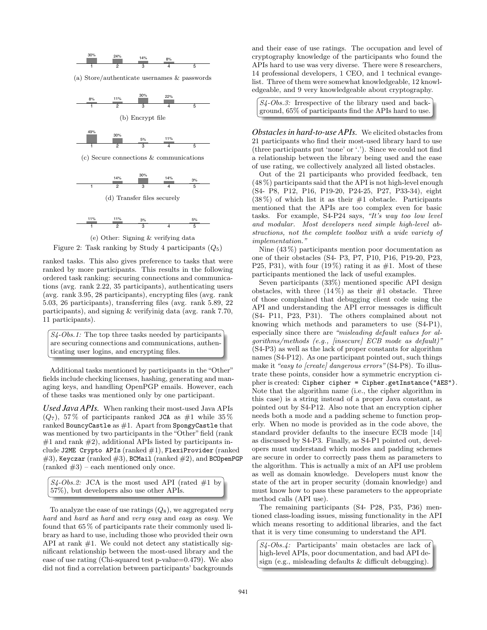

(a) Store/authenticate usernames & passwords



1 2 3 4 5 (c) Secure connections & communications





$$
\begin{array}{c|cccc}\n & 11\% & & 11\% & & 3\% \\
\hline\n1 & & 2 & & 3 & & 4 & 5\n\end{array}
$$





ranked tasks. This also gives preference to tasks that were ranked by more participants. This results in the following ordered task ranking: securing connections and communications (avg. rank 2.22, 35 participants), authenticating users (avg. rank 3.95, 28 participants), encrypting files (avg. rank 5.03, 26 participants), transferring files (avg. rank 5.89, 22 participants), and signing & verifyinig data (avg. rank 7.70, 11 participants).



Additional tasks mentioned by participants in the "Other" fields include checking licenses, hashing, generating and managing keys, and handling OpenPGP emails. However, each of these tasks was mentioned only by one participant.

*Used Java APIs.* When ranking their most-used Java APIs  $(Q_7)$ , 57% of participants ranked JCA as  $\#1$  while 35% ranked BouncyCastle as  $#1$ . Apart from SpongyCastle that was mentioned by two participants in the "Other" field (rank  $#1$  and rank  $#2$ ), additional APIs listed by participants include J2ME Crypto APIs (ranked #1), FlexiProvider (ranked  $#3$ ), Keyczar (ranked  $#3$ ), BCMail (ranked  $#2$ ), and BCOpenPGP  $(ranked \#3)$  – each mentioned only once.

```
S4\text{-}Obs.2: JCA is the most used API (rated #1 by
57%), but developers also use other APIs.
```
To analyze the ease of use ratings (*Q*8), we aggregated *very hard* and *hard* as *hard* and *very easy* and *easy* as *easy*. We found that 65 % of participants rate their commonly used library as hard to use, including those who provided their own API at rank  $#1$ . We could not detect any statistically significant relationship between the most-used library and the ease of use rating (Chi-squared test p-value=0.479). We also did not find a correlation between participants' backgrounds and their ease of use ratings. The occupation and level of cryptography knowledge of the participants who found the APIs hard to use was very diverse. There were 8 researchers, 14 professional developers, 1 CEO, and 1 technical evangelist. Three of them were somewhat knowledgeable, 12 knowledgeable, and 9 very knowledgeable about cryptography.

| $\left  S_4\text{-}Obs.3: \right $ Irrespective of the library used and back- |
|-------------------------------------------------------------------------------|
| ground, $65\%$ of participants find the APIs hard to use.                     |

*Obstacles in hard-to-use APIs.* We elicited obstacles from 21 participants who find their most-used library hard to use (three participants put 'none' or '.'). Since we could not find a relationship between the library being used and the ease of use rating, we collectively analyzed all listed obstacles.

Out of the 21 participants who provided feedback, ten (48 %) participants said that the API is not high-level enough (S4- P8, P12, P16, P19-20, P24-25, P27, P33-34), eight  $(38\%)$  of which list it as their  $\#1$  obstacle. Participants mentioned that the APIs are too complex even for basic tasks. For example, S4-P24 says, *"It's way too low level and modular. Most developers need simple high-level abstractions, not the complete toolbox with a wide variety of implementation."*

Nine (43 %) participants mention poor documentation as one of their obstacles (S4- P3, P7, P10, P16, P19-20, P23, P25, P31), with four  $(19\%)$  rating it as #1. Most of these participants mentioned the lack of useful examples.

Seven participants (33%) mentioned specific API design obstacles, with three  $(14\%)$  as their #1 obstacle. Three of those complained that debugging client code using the API and understanding the API error messages is difficult (S4- P11, P23, P31). The others complained about not knowing which methods and parameters to use (S4-P1), especially since there are *"misleading default values for algorithms/methods (e.g., [insecure] ECB mode as default)"* (S4-P3) as well as the lack of proper constants for algorithm names (S4-P12). As one participant pointed out, such things make it *"easy to [create] dangerous errors"* (S4-P8). To illustrate these points, consider how a symmetric encryption cipher is created: Cipher cipher = Cipher.getInstance("AES"). Note that the algorithm name (i.e., the cipher algorithm in this case) is a string instead of a proper Java constant, as pointed out by S4-P12. Also note that an encryption cipher needs both a mode and a padding scheme to function properly. When no mode is provided as in the code above, the standard provider defaults to the insecure ECB mode [14] as discussed by S4-P3. Finally, as S4-P1 pointed out, developers must understand which modes and padding schemes are secure in order to correctly pass them as parameters to the algorithm. This is actually a mix of an API use problem as well as domain knowledge. Developers must know the state of the art in proper security (domain knowledge) and must know how to pass these parameters to the appropriate method calls (API use).

The remaining participants (S4- P28, P35, P36) mentioned class-loading issues, missing functionality in the API which means resorting to additional libraries, and the fact that it is very time consuming to understand the API.

*S4-Obs.4:* Participants' main obstacles are lack of high-level APIs, poor documentation, and bad API design (e.g., misleading defaults  $&$  difficult debugging).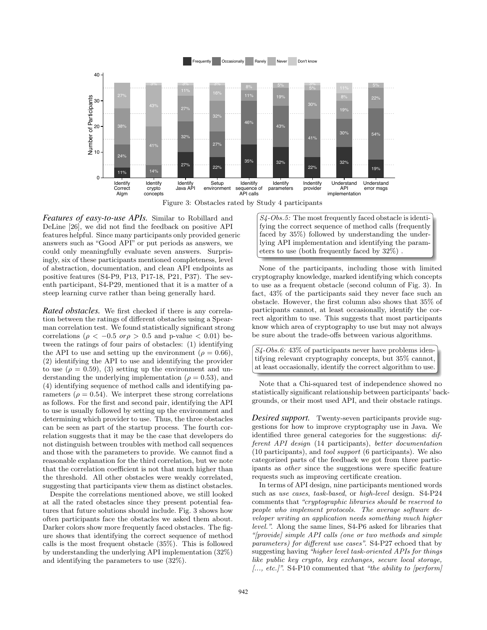

Figure 3: Obstacles rated by Study 4 participants

*Features of easy-to-use APIs.* Similar to Robillard and DeLine [26], we did not find the feedback on positive API features helpful. Since many participants only provided generic answers such as "Good API" or put periods as answers, we could only meaningfully evaluate seven answers. Surprisingly, six of these participants mentioned completeness, level of abstraction, documentation, and clean API endpoints as positive features (S4-P9, P13, P17-18, P21, P37). The seventh participant, S4-P29, mentioned that it is a matter of a steep learning curve rather than being generally hard.

*Rated obstacles.* We first checked if there is any correlation between the ratings of different obstacles using a Spearman correlation test. We found statistically significant strong correlations ( $\rho < -0.5$  *or* $\rho > 0.5$  and p-value  $< 0.01$ ) between the ratings of four pairs of obstacles: (1) identifying the API to use and setting up the environment ( $\rho = 0.66$ ), (2) identifying the API to use and identifying the provider to use  $(\rho = 0.59)$ , (3) setting up the environment and understanding the underlying implementation ( $\rho = 0.53$ ), and (4) identifying sequence of method calls and identifying parameters ( $\rho = 0.54$ ). We interpret these strong correlations as follows. For the first and second pair, identifying the API to use is usually followed by setting up the environment and determining which provider to use. Thus, the three obstacles can be seen as part of the startup process. The fourth correlation suggests that it may be the case that developers do not distinguish between troubles with method call sequences and those with the parameters to provide. We cannot find a reasonable explanation for the third correlation, but we note that the correlation coefficient is not that much higher than the threshold. All other obstacles were weakly correlated, suggesting that participants view them as distinct obstacles.

Despite the correlations mentioned above, we still looked at all the rated obstacles since they present potential features that future solutions should include. Fig. 3 shows how often participants face the obstacles we asked them about. Darker colors show more frequently faced obstacles. The figure shows that identifying the correct sequence of method calls is the most frequent obstacle (35%). This is followed by understanding the underlying API implementation (32%) and identifying the parameters to use (32%).

*S4-Obs.5:* The most frequently faced obstacle is identifying the correct sequence of method calls (frequently faced by 35%) followed by understanding the underlying API implementation and identifying the parameters to use (both frequently faced by 32%) .

None of the participants, including those with limited cryptography knowledge, marked identifying which concepts to use as a frequent obstacle (second column of Fig. 3). In fact, 43% of the participants said they never face such an obstacle. However, the first column also shows that 35% of participants cannot, at least occasionally, identify the correct algorithm to use. This suggests that most participants know which area of cryptography to use but may not always be sure about the trade-offs between various algorithms.

*S4-Obs.6:* 43% of participants never have problems identifying relevant cryptography concepts, but 35% cannot, at least occasionally, identify the correct algorithm to use.

Note that a Chi-squared test of independence showed no statistically significant relationship between participants' backgrounds, or their most used API, and their obstacle ratings.

*Desired support.* Twenty-seven participants provide suggestions for how to improve cryptography use in Java. We identified three general categories for the suggestions: *different API design* (14 participants), *better documentation* (10 participants), and *tool support* (6 participants). We also categorized parts of the feedback we got from three participants as *other* since the suggestions were specific feature requests such as improving certificate creation.

In terms of API design, nine participants mentioned words such as *use cases*, *task-based*, or *high-level* design. S4-P24 comments that *"cryptographic libraries should be reserved to people who implement protocols. The average software developer writing an application needs something much higher level."*. Along the same lines, S4-P6 asked for libraries that *"[provide] simple API calls (one or two methods and simple parameters) for different use cases*". S4-P27 echoed that by suggesting having *"higher level task-oriented APIs for things like public key crypto, key exchanges, secure local storage, [..., etc.]"*. S4-P10 commented that *"the ability to [perform]*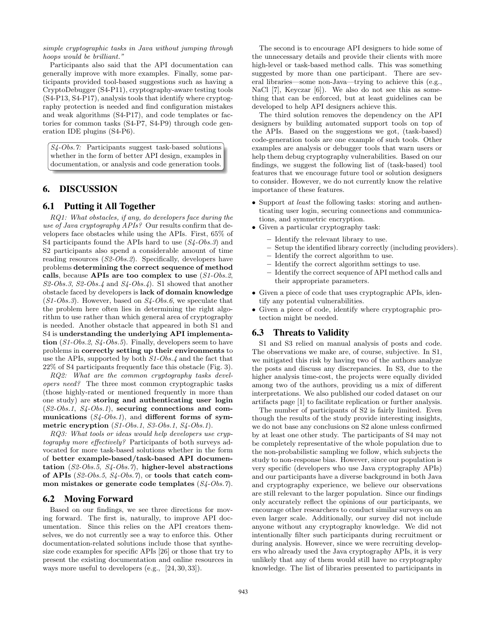*simple cryptographic tasks in Java without jumping through hoops would be brilliant."*

Participants also said that the API documentation can generally improve with more examples. Finally, some participants provided tool-based suggestions such as having a CryptoDebugger (S4-P11), cryptography-aware testing tools (S4-P13, S4-P17), analysis tools that identify where cryptography protection is needed and find configuration mistakes and weak algorithms (S4-P17), and code templates or factories for common tasks (S4-P7, S4-P9) through code generation IDE plugins (S4-P6).

*S4-Obs.7:* Participants suggest task-based solutions whether in the form of better API design, examples in documentation, or analysis and code generation tools.

# 6. DISCUSSION

#### 6.1 Putting it All Together

*RQ1: What obstacles, if any, do developers face during the use of Java cryptography APIs?* Our results confirm that developers face obstacles while using the APIs. First, 65% of S4 participants found the APIs hard to use (*S4-Obs.3*) and S2 participants also spend a considerable amount of time reading resources (*S2-Obs.2*). Specifically, developers have problems determining the correct sequence of method calls, because APIs are too complex to use (*S1-Obs.2*, *S2-Obs.3*, *S2-Obs.4* and *S4-Obs.4*). S1 showed that another obstacle faced by developers is lack of domain knowledge (*S1-Obs.3*). However, based on *S4-Obs.6*, we speculate that the problem here often lies in determining the right algorithm to use rather than which general area of cryptography is needed. Another obstacle that appeared in both S1 and S4 is understanding the underlying API implementation (*S1-Obs.2*, *S4-Obs.5*). Finally, developers seem to have problems in correctly setting up their environments to use the APIs, supported by both *S1-Obs.4* and the fact that 22% of S4 participants frequently face this obstacle (Fig. 3).

*RQ2: What are the common cryptography tasks developers need?* The three most common cryptographic tasks (those highly-rated or mentioned frequently in more than one study) are storing and authenticating user login (*S2-Obs.1*, *S4-Obs.1*), securing connections and communications  $(S_4\text{-}Obs.1)$ , and different forms of symmetric encryption (*S1-Obs.1*, *S3-Obs.1*, *S4-Obs.1*).

*RQ3: What tools or ideas would help developers use cryptography more effectively?* Participants of both surveys advocated for more task-based solutions whether in the form of better example-based/task-based API documentation (*S2-Obs.5*, *S4-Obs.7*), higher-level abstractions of APIs (*S2-Obs.5*, *S4-Obs.7*), or tools that catch common mistakes or generate code templates (*S4-Obs.7*).

#### 6.2 Moving Forward

Based on our findings, we see three directions for moving forward. The first is, naturally, to improve API documentation. Since this relies on the API creators themselves, we do not currently see a way to enforce this. Other documentation-related solutions include those that synthesize code examples for specific APIs [26] or those that try to present the existing documentation and online resources in ways more useful to developers (e.g., [24, 30, 33]).

The second is to encourage API designers to hide some of the unnecessary details and provide their clients with more high-level or task-based method calls. This was something suggested by more than one participant. There are several libraries—some non-Java—trying to achieve this (e.g., NaCl [7], Keyczar [6]). We also do not see this as something that can be enforced, but at least guidelines can be developed to help API designers achieve this.

The third solution removes the dependency on the API designers by building automated support tools on top of the APIs. Based on the suggestions we got, (task-based) code-generation tools are one example of such tools. Other examples are analysis or debugger tools that warn users or help them debug cryptography vulnerabilities. Based on our findings, we suggest the following list of (task-based) tool features that we encourage future tool or solution designers to consider. However, we do not currently know the relative importance of these features.

- *•* Support *at least* the following tasks: storing and authenticating user login, securing connections and communications, and symmetric encryption.
- *•* Given a particular cryptography task:
	- Identify the relevant library to use.
	- Setup the identified library correctly (including providers).
	- Identify the correct algorithm to use.
	- Identify the correct algorithm settings to use.
	- Identify the correct sequence of API method calls and their appropriate parameters.
- *•* Given a piece of code that uses cryptographic APIs, identify any potential vulnerabilities.
- *•* Given a piece of code, identify where cryptographic protection might be needed.

#### 6.3 Threats to Validity

S1 and S3 relied on manual analysis of posts and code. The observations we make are, of course, subjective. In S1, we mitigated this risk by having two of the authors analyze the posts and discuss any discrepancies. In S3, due to the higher analysis time-cost, the projects were equally divided among two of the authors, providing us a mix of different interpretations. We also published our coded dataset on our artifacts page [1] to facilitate replication or further analysis.

The number of participants of S2 is fairly limited. Even though the results of the study provide interesting insights, we do not base any conclusions on S2 alone unless confirmed by at least one other study. The participants of S4 may not be completely representative of the whole population due to the non-probabilistic sampling we follow, which subjects the study to non-response bias. However, since our population is very specific (developers who use Java cryptography APIs) and our participants have a diverse background in both Java and cryptography experience, we believe our observations are still relevant to the larger population. Since our findings only accurately reflect the opinions of our participants, we encourage other researchers to conduct similar surveys on an even larger scale. Additionally, our survey did not include anyone without any cryptography knowledge. We did not intentionally filter such participants during recruitment or during analysis. However, since we were recruiting developers who already used the Java cryptography APIs, it is very unlikely that any of them would still have no cryptography knowledge. The list of libraries presented to participants in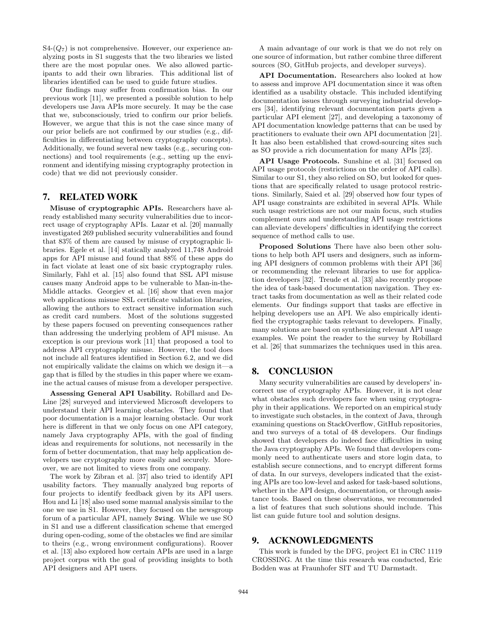$S4-(Q_7)$  is not comprehensive. However, our experience analyzing posts in S1 suggests that the two libraries we listed there are the most popular ones. We also allowed participants to add their own libraries. This additional list of libraries identified can be used to guide future studies.

Our findings may suffer from confirmation bias. In our previous work [11], we presented a possible solution to help developers use Java APIs more securely. It may be the case that we, subconsciously, tried to confirm our prior beliefs. However, we argue that this is not the case since many of our prior beliefs are not confirmed by our studies (e.g., difficulties in differentiating between cryptography concepts). Additionally, we found several new tasks (e.g., securing connections) and tool requirements (e.g., setting up the environment and identifying missing cryptography protection in code) that we did not previously consider.

## 7. RELATED WORK

Misuse of cryptographic APIs. Researchers have already established many security vulnerabilities due to incorrect usage of cryptography APIs. Lazar et al. [20] manually investigated 269 published security vulnerabilities and found that 83% of them are caused by misuse of cryptographic libraries. Egele et al. [14] statically analyzed 11,748 Android apps for API misuse and found that 88% of these apps do in fact violate at least one of six basic cryptography rules. Similarly, Fahl et al. [15] also found that SSL API misuse causes many Android apps to be vulnerable to Man-in-the-Middle attacks. Georgiev et al. [16] show that even major web applications misuse SSL certificate validation libraries, allowing the authors to extract sensitive information such as credit card numbers. Most of the solutions suggested by these papers focused on preventing consequences rather than addressing the underlying problem of API misuse. An exception is our previous work [11] that proposed a tool to address API cryptography misuse. However, the tool does not include all features identified in Section 6.2, and we did not empirically validate the claims on which we design it—a gap that is filled by the studies in this paper where we examine the actual causes of misuse from a developer perspective.

Assessing General API Usability. Robillard and De-Line [28] surveyed and interviewed Microsoft developers to understand their API learning obstacles. They found that poor documentation is a major learning obstacle. Our work here is different in that we only focus on one API category, namely Java cryptography APIs, with the goal of finding ideas and requirements for solutions, not necessarily in the form of better documentation, that may help application developers use cryptography more easily and securely. Moreover, we are not limited to views from one company.

The work by Zibran et al. [37] also tried to identify API usability factors. They manually analyzed bug reports of four projects to identify feedback given by its API users. Hou and Li [18] also used some manual analysis similar to the one we use in S1. However, they focused on the newsgroup forum of a particular API, namely Swing. While we use SO in S1 and use a different classification scheme that emerged during open-coding, some of the obstacles we find are similar to theirs (e.g., wrong environment configurations). Roover et al. [13] also explored how certain APIs are used in a large project corpus with the goal of providing insights to both API designers and API users.

A main advantage of our work is that we do not rely on one source of information, but rather combine three different sources (SO, GitHub projects, and developer surveys).

API Documentation. Researchers also looked at how to assess and improve API documentation since it was often identified as a usability obstacle. This included identifying documentation issues through surveying industrial developers [34], identifying relevant documentation parts given a particular API element [27], and developing a taxonomy of API documentation knowledge patterns that can be used by practitioners to evaluate their own API documentation [21]. It has also been established that crowd-sourcing sites such as SO provide a rich documentation for many APIs [23].

API Usage Protocols. Sunshine et al. [31] focused on API usage protocols (restrictions on the order of API calls). Similar to our S1, they also relied on SO, but looked for questions that are specifically related to usage protocol restrictions. Similarly, Saied et al. [29] observed how four types of API usage constraints are exhibited in several APIs. While such usage restrictions are not our main focus, such studies complement ours and understanding API usage restrictions can alleviate developers' difficulties in identifying the correct sequence of method calls to use.

Proposed Solutions There have also been other solutions to help both API users and designers, such as informing API designers of common problems with their API [36] or recommending the relevant libraries to use for application developers [32]. Treude et al. [33] also recently propose the idea of task-based documentation navigation. They extract tasks from documentation as well as their related code elements. Our findings support that tasks are effective in helping developers use an API. We also empirically identified the cryptographic tasks relevant to developers. Finally, many solutions are based on synthesizing relevant API usage examples. We point the reader to the survey by Robillard et al. [26] that summarizes the techniques used in this area.

#### 8. CONCLUSION

Many security vulnerabilities are caused by developers' incorrect use of cryptography APIs. However, it is not clear what obstacles such developers face when using cryptography in their applications. We reported on an empirical study to investigate such obstacles, in the context of Java, through examining questions on StackOverflow, GitHub repositories, and two surveys of a total of 48 developers. Our findings showed that developers do indeed face difficulties in using the Java cryptography APIs. We found that developers commonly need to authenticate users and store login data, to establish secure connections, and to encrypt different forms of data. In our surveys, developers indicated that the existing APIs are too low-level and asked for task-based solutions, whether in the API design, documentation, or through assistance tools. Based on these observations, we recommended a list of features that such solutions should include. This list can guide future tool and solution designs.

#### 9. ACKNOWLEDGMENTS

This work is funded by the DFG, project E1 in CRC 1119 CROSSING. At the time this research was conducted, Eric Bodden was at Fraunhofer SIT and TU Darmstadt.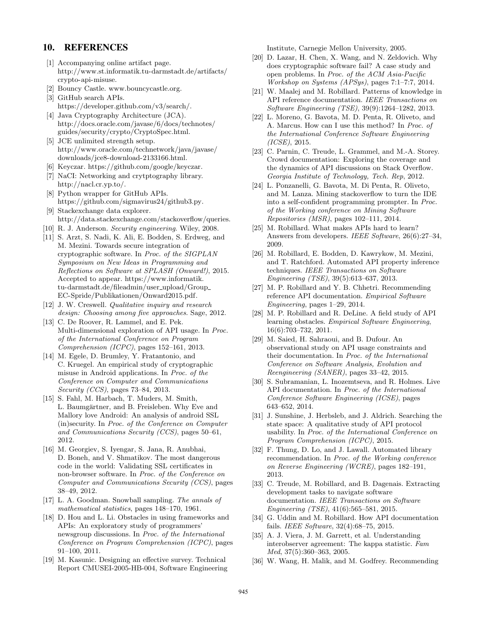#### 10. REFERENCES

- [1] Accompanying online artifact page. http://www.st.informatik.tu-darmstadt.de/artifacts/ crypto-api-misuse.
- [2] Bouncy Castle. www.bouncycastle.org.
- [3] GitHub search APIs. https://developer.github.com/v3/search/.
- [4] Java Cryptography Architecture (JCA). http://docs.oracle.com/javase/6/docs/technotes/ guides/security/crypto/CryptoSpec.html.
- [5] JCE unlimited strength setup. http://www.oracle.com/technetwork/java/javase/ downloads/jce8-download-2133166.html.
- [6] Keyczar. https://github.com/google/keyczar.
- [7] NaCI: Networking and crytptography library. http://nacl.cr.yp.to/.
- [8] Python wrapper for GitHub APIs. https://github.com/sigmavirus24/github3.py. [9] Stackexchange data explorer.
- http://data.stackexchange.com/stackoverflow/queries.
- [10] R. J. Anderson. *Security engineering*. Wiley, 2008.
- [11] S. Arzt, S. Nadi, K. Ali, E. Bodden, S. Erdweg, and M. Mezini. Towards secure integration of cryptographic software. In *Proc. of the SIGPLAN Symposium on New Ideas in Programming and Reflections on Software at SPLASH (Onward!)*, 2015. Accepted to appear. https://www.informatik. tu-darmstadt.de/fileadmin/user upload/Group EC-Spride/Publikationen/Onward2015.pdf.
- [12] J. W. Creswell. *Qualitative inquiry and research design: Choosing among five approaches*. Sage, 2012.
- [13] C. De Roover, R. Lammel, and E. Pek. Multi-dimensional exploration of API usage. In *Proc. of the International Conference on Program Comprehension (ICPC)*, pages 152–161, 2013.
- [14] M. Egele, D. Brumley, Y. Fratantonio, and C. Kruegel. An empirical study of cryptographic misuse in Android applications. In *Proc. of the Conference on Computer and Communications Security (CCS)*, pages 73–84, 2013.
- [15] S. Fahl, M. Harbach, T. Muders, M. Smith, L. Baumgärtner, and B. Freisleben. Why Eve and Mallory love Android: An analysis of android SSL (in)security. In *Proc. of the Conference on Computer and Communications Security (CCS)*, pages 50–61, 2012.
- [16] M. Georgiev, S. Iyengar, S. Jana, R. Anubhai, D. Boneh, and V. Shmatikov. The most dangerous code in the world: Validating SSL certificates in non-browser software. In *Proc. of the Conference on Computer and Communications Security (CCS)*, pages 38–49, 2012.
- [17] L. A. Goodman. Snowball sampling. *The annals of mathematical statistics*, pages 148–170, 1961.
- [18] D. Hou and L. Li. Obstacles in using frameworks and APIs: An exploratory study of programmers' newsgroup discussions. In *Proc. of the International Conference on Program Comprehension (ICPC)*, pages 91–100, 2011.
- [19] M. Kasunic. Designing an effective survey. Technical Report CMUSEI-2005-HB-004, Software Engineering

Institute, Carnegie Mellon University, 2005.

- [20] D. Lazar, H. Chen, X. Wang, and N. Zeldovich. Why does cryptographic software fail? A case study and open problems. In *Proc. of the ACM Asia-Pacific Workshop on Systems (APSys)*, pages 7:1–7:7, 2014.
- [21] W. Maalej and M. Robillard. Patterns of knowledge in API reference documentation. *IEEE Transactions on Software Engineering (TSE)*, 39(9):1264–1282, 2013.
- [22] L. Moreno, G. Bavota, M. D. Penta, R. Oliveto, and A. Marcus. How can I use this method? In *Proc. of the International Conference Software Engineering (ICSE)*, 2015.
- [23] C. Parnin, C. Treude, L. Grammel, and M.-A. Storey. Crowd documentation: Exploring the coverage and the dynamics of API discussions on Stack Overflow. *Georgia Institute of Technology, Tech. Rep*, 2012.
- [24] L. Ponzanelli, G. Bavota, M. Di Penta, R. Oliveto, and M. Lanza. Mining stackoverflow to turn the IDE into a self-confident programming prompter. In *Proc. of the Working conference on Mining Software Repositories (MSR)*, pages 102–111, 2014.
- [25] M. Robillard. What makes APIs hard to learn? Answers from developers. *IEEE Software*, 26(6):27–34, 2009.
- [26] M. Robillard, E. Bodden, D. Kawrykow, M. Mezini, and T. Ratchford. Automated API property inference techniques. *IEEE Transactions on Software Engineering (TSE)*, 39(5):613–637, 2013.
- [27] M. P. Robillard and Y. B. Chhetri. Recommending reference API documentation. *Empirical Software Engineering*, pages 1–29, 2014.
- [28] M. P. Robillard and R. DeLine. A field study of API learning obstacles. *Empirical Software Engineering*, 16(6):703–732, 2011.
- [29] M. Saied, H. Sahraoui, and B. Dufour. An observational study on API usage constraints and their documentation. In *Proc. of the International Conference on Software Analysis, Evolution and Reengineering (SANER)*, pages 33–42, 2015.
- [30] S. Subramanian, L. Inozemtseva, and R. Holmes. Live API documentation. In *Proc. of the International Conference Software Engineering (ICSE)*, pages 643–652, 2014.
- [31] J. Sunshine, J. Herbsleb, and J. Aldrich. Searching the state space: A qualitative study of API protocol usability. In *Proc. of the International Conference on Program Comprehension (ICPC)*, 2015.
- [32] F. Thung, D. Lo, and J. Lawall. Automated library recommendation. In *Proc. of the Working conference on Reverse Engineering (WCRE)*, pages 182–191, 2013.
- [33] C. Treude, M. Robillard, and B. Dagenais. Extracting development tasks to navigate software documentation. *IEEE Transactions on Software Engineering (TSE)*, 41(6):565–581, 2015.
- [34] G. Uddin and M. Robillard. How API documentation fails. *IEEE Software*, 32(4):68–75, 2015.
- [35] A. J. Viera, J. M. Garrett, et al. Understanding interobserver agreement: The kappa statistic. *Fam Med*, 37(5):360–363, 2005.
- [36] W. Wang, H. Malik, and M. Godfrey. Recommending